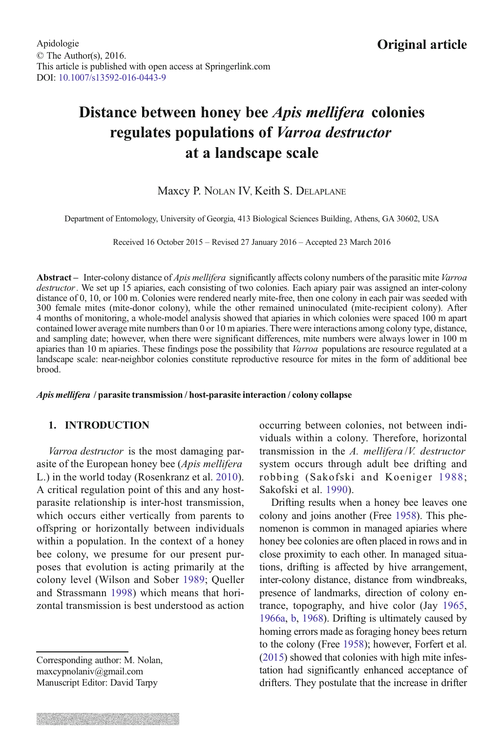# <span id="page-0-0"></span>Distance between honey bee Apis mellifera colonies regulates populations of Varroa destructor at a landscape scale

# Maxcy P. NOLAN IV, Keith S. DELAPLANE

Department of Entomology, University of Georgia, 413 Biological Sciences Building, Athens, GA 30602, USA

Received 16 October 2015 – Revised 27 January 2016 – Accepted 23 March 2016

Abstract – Inter-colony distance of *Apis mellifera* significantly affects colony numbers of the parasitic mite Varroa destructor. We set up 15 apiaries, each consisting of two colonies. Each apiary pair was assigned an inter-colony distance of 0, 10, or 100 m. Colonies were rendered nearly mite-free, then one colony in each pair was seeded with 300 female mites (mite-donor colony), while the other remained uninoculated (mite-recipient colony). After 4 months of monitoring, a whole-model analysis showed that apiaries in which colonies were spaced 100 m apart contained lower average mite numbers than 0 or 10 m apiaries. There were interactions among colony type, distance, and sampling date; however, when there were significant differences, mite numbers were always lower in 100 m apiaries than 10 m apiaries. These findings pose the possibility that Varroa populations are resource regulated at a landscape scale: near-neighbor colonies constitute reproductive resource for mites in the form of additional bee brood.

#### Apis mellifera / parasite transmission / host-parasite interaction / colony collapse

#### 1. INTRODUCTION

Varroa destructor is the most damaging parasite of the European honey bee (Apis mellifera L.) in the world today (Rosenkranz et al. [2010\)](#page-8-0). A critical regulation point of this and any hostparasite relationship is inter-host transmission, which occurs either vertically from parents to offspring or horizontally between individuals within a population. In the context of a honey bee colony, we presume for our present purposes that evolution is acting primarily at the colony level (Wilson and Sober [1989](#page-8-0); Queller and Strassmann [1998](#page-8-0)) which means that horizontal transmission is best understood as action

Corresponding author: M. Nolan, maxcypnolaniv@gmail.com Manuscript Editor: David Tarpy

occurring between colonies, not between individuals within a colony. Therefore, horizontal transmission in the A. mellifera /V. destructor system occurs through adult bee drifting and robbing (Sakofski and Koeniger [1988;](#page-8-0) Sakofski et al. [1990](#page-8-0)).

Drifting results when a honey bee leaves one colony and joins another (Free [1958\)](#page-8-0). This phenomenon is common in managed apiaries where honey bee colonies are often placed in rows and in close proximity to each other. In managed situations, drifting is affected by hive arrangement, inter-colony distance, distance from windbreaks, presence of landmarks, direction of colony entrance, topography, and hive color (Jay [1965](#page-8-0), [1966a,](#page-8-0) [b](#page-8-0), [1968](#page-8-0)). Drifting is ultimately caused by homing errors made as foraging honey bees return to the colony (Free [1958](#page-8-0)); however, Forfert et al. [\(2015\)](#page-8-0) showed that colonies with high mite infestation had significantly enhanced acceptance of drifters. They postulate that the increase in drifter

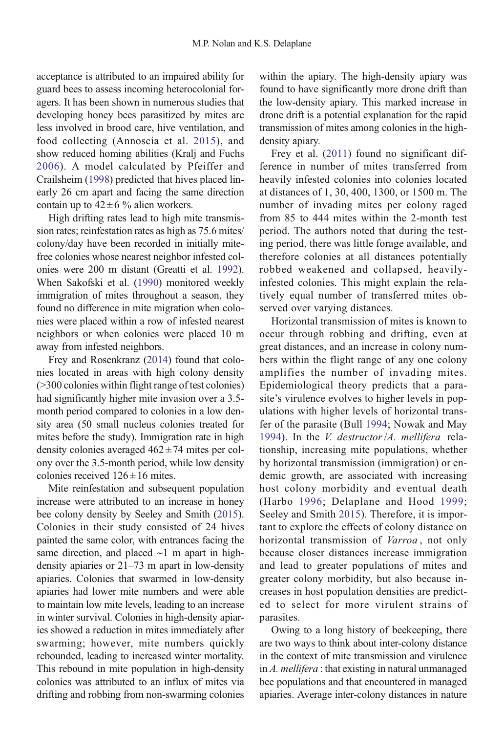acceptance is attributed to an impaired ability for guard bees to assess incoming heterocolonial foragers. It has been shown in numerous studies that developing honey bees parasitized by mites are less involved in brood care, hive ventilation, and food collecting (Annoscia et al. [2015\)](#page-7-0), and show reduced homing abilities (Kralj and Fuchs [2006\)](#page-8-0). A model calculated by Pfeiffer and Crailsheim [\(1998\)](#page-8-0) predicted that hives placed linearly 26 cm apart and facing the same direction contain up to  $42 \pm 6$  % alien workers.

High drifting rates lead to high mite transmission rates; reinfestation rates as high as 75.6 mites/ colony/day have been recorded in initially mitefree colonies whose nearest neighbor infested colonies were 200 m distant (Greatti et al. [1992](#page-8-0)). When Sakofski et al. ([1990](#page-8-0)) monitored weekly immigration of mites throughout a season, they found no difference in mite migration when colonies were placed within a row of infested nearest neighbors or when colonies were placed 10 m away from infested neighbors.

Frey and Rosenkranz [\(2014](#page-8-0)) found that colonies located in areas with high colony density (>300 colonies within flight range of test colonies) had significantly higher mite invasion over a 3.5 month period compared to colonies in a low density area (50 small nucleus colonies treated for mites before the study). Immigration rate in high density colonies averaged  $462 \pm 74$  mites per colony over the 3.5-month period, while low density colonies received  $126 \pm 16$  mites.

Mite reinfestation and subsequent population increase were attributed to an increase in honey bee colony density by Seeley and Smith [\(2015](#page-8-0)). Colonies in their study consisted of 24 hives painted the same color, with entrances facing the same direction, and placed ∼1 m apart in highdensity apiaries or 21–73 m apart in low-density apiaries. Colonies that swarmed in low-density apiaries had lower mite numbers and were able to maintain low mite levels, leading to an increase in winter survival. Colonies in high-density apiaries showed a reduction in mites immediately after swarming; however, mite numbers quickly rebounded, leading to increased winter mortality. This rebound in mite population in high-density colonies was attributed to an influx of mites via drifting and robbing from non-swarming colonies within the apiary. The high-density apiary was found to have significantly more drone drift than the low-density apiary. This marked increase in drone drift is a potential explanation for the rapid transmission of mites among colonies in the highdensity apiary.

Frey et al. ([2011](#page-8-0)) found no significant difference in number of mites transferred from heavily infested colonies into colonies located at distances of 1, 30, 400, 1300, or 1500 m. The number of invading mites per colony raged from 85 to 444 mites within the 2-month test period. The authors noted that during the testing period, there was little forage available, and therefore colonies at all distances potentially robbed weakened and collapsed, heavilyinfested colonies. This might explain the relatively equal number of transferred mites observed over varying distances.

Horizontal transmission of mites is known to occur through robbing and drifting, even at great distances, and an increase in colony numbers within the flight range of any one colony amplifies the number of invading mites. Epidemiological theory predicts that a parasite's virulence evolves to higher levels in populations with higher levels of horizontal transfer of the parasite (Bull [1994;](#page-7-0) Nowak and May [1994](#page-8-0)). In the V. destructor/A. mellifera relationship, increasing mite populations, whether by horizontal transmission (immigration) or endemic growth, are associated with increasing host colony morbidity and eventual death (Harbo [1996;](#page-8-0) Delaplane and Hood [1999;](#page-8-0) Seeley and Smith [2015](#page-8-0)). Therefore, it is important to explore the effects of colony distance on horizontal transmission of *Varroa*, not only because closer distances increase immigration and lead to greater populations of mites and greater colony morbidity, but also because increases in host population densities are predicted to select for more virulent strains of parasites.

Owing to a long history of beekeeping, there are two ways to think about inter-colony distance in the context of mite transmission and virulence in A. mellifera : that existing in natural unmanaged bee populations and that encountered in managed apiaries. Average inter-colony distances in nature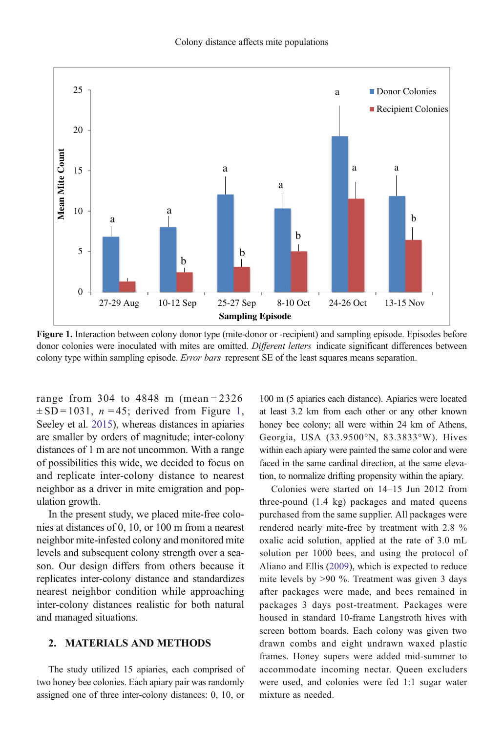<span id="page-2-0"></span>

Figure 1. Interaction between colony donor type (mite-donor or -recipient) and sampling episode. Episodes before donor colonies were inoculated with mites are omitted. Different letters indicate significant differences between colony type within sampling episode. Error bars represent SE of the least squares means separation.

range from 304 to 4848 m (mean = 2326  $\pm$  SD = 1031, *n* = 45; derived from Figure 1, Seeley et al. [2015\)](#page-8-0), whereas distances in apiaries are smaller by orders of magnitude; inter-colony distances of 1 m are not uncommon. With a range of possibilities this wide, we decided to focus on and replicate inter-colony distance to nearest neighbor as a driver in mite emigration and population growth.

In the present study, we placed mite-free colonies at distances of 0, 10, or 100 m from a nearest neighbor mite-infested colony and monitored mite levels and subsequent colony strength over a season. Our design differs from others because it replicates inter-colony distance and standardizes nearest neighbor condition while approaching inter-colony distances realistic for both natural and managed situations.

## 2. MATERIALS AND METHODS

The study utilized 15 apiaries, each comprised of two honey bee colonies. Each apiary pair was randomly assigned one of three inter-colony distances: 0, 10, or

100 m (5 apiaries each distance). Apiaries were located at least 3.2 km from each other or any other known honey bee colony; all were within 24 km of Athens, Georgia, USA (33.9500°N, 83.3833°W). Hives within each apiary were painted the same color and were faced in the same cardinal direction, at the same elevation, to normalize drifting propensity within the apiary.

Colonies were started on 14–15 Jun 2012 from three-pound (1.4 kg) packages and mated queens purchased from the same supplier. All packages were rendered nearly mite-free by treatment with 2.8 % oxalic acid solution, applied at the rate of 3.0 mL solution per 1000 bees, and using the protocol of Aliano and Ellis ([2009](#page-7-0)), which is expected to reduce mite levels by >90 %. Treatment was given 3 days after packages were made, and bees remained in packages 3 days post-treatment. Packages were housed in standard 10-frame Langstroth hives with screen bottom boards. Each colony was given two drawn combs and eight undrawn waxed plastic frames. Honey supers were added mid-summer to accommodate incoming nectar. Queen excluders were used, and colonies were fed 1:1 sugar water mixture as needed.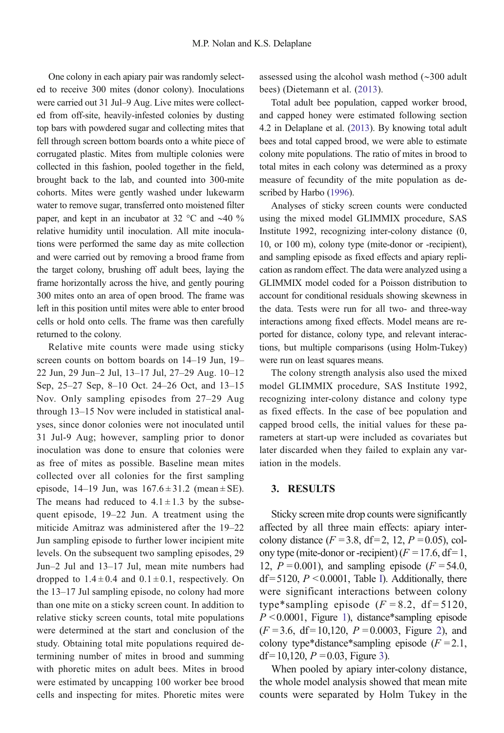<span id="page-3-0"></span>One colony in each apiary pair was randomly selected to receive 300 mites (donor colony). Inoculations were carried out 31 Jul–9 Aug. Live mites were collected from off-site, heavily-infested colonies by dusting top bars with powdered sugar and collecting mites that fell through screen bottom boards onto a white piece of corrugated plastic. Mites from multiple colonies were collected in this fashion, pooled together in the field, brought back to the lab, and counted into 300-mite cohorts. Mites were gently washed under lukewarm water to remove sugar, transferred onto moistened filter paper, and kept in an incubator at 32 °C and ∼40 % relative humidity until inoculation. All mite inoculations were performed the same day as mite collection and were carried out by removing a brood frame from the target colony, brushing off adult bees, laying the frame horizontally across the hive, and gently pouring 300 mites onto an area of open brood. The frame was left in this position until mites were able to enter brood cells or hold onto cells. The frame was then carefully returned to the colony.

Relative mite counts were made using sticky screen counts on bottom boards on 14–19 Jun, 19– 22 Jun, 29 Jun–2 Jul, 13–17 Jul, 27–29 Aug. 10–12 Sep, 25–27 Sep, 8–10 Oct. 24–26 Oct, and 13–15 Nov. Only sampling episodes from 27–29 Aug through 13–15 Nov were included in statistical analyses, since donor colonies were not inoculated until 31 Jul-9 Aug; however, sampling prior to donor inoculation was done to ensure that colonies were as free of mites as possible. Baseline mean mites collected over all colonies for the first sampling episode, 14–19 Jun, was  $167.6 \pm 31.2$  (mean  $\pm$  SE). The means had reduced to  $4.1 \pm 1.3$  by the subsequent episode, 19–22 Jun. A treatment using the miticide Amitraz was administered after the 19–22 Jun sampling episode to further lower incipient mite levels. On the subsequent two sampling episodes, 29 Jun–2 Jul and 13–17 Jul, mean mite numbers had dropped to  $1.4 \pm 0.4$  and  $0.1 \pm 0.1$ , respectively. On the 13–17 Jul sampling episode, no colony had more than one mite on a sticky screen count. In addition to relative sticky screen counts, total mite populations were determined at the start and conclusion of the study. Obtaining total mite populations required determining number of mites in brood and summing with phoretic mites on adult bees. Mites in brood were estimated by uncapping 100 worker bee brood cells and inspecting for mites. Phoretic mites were assessed using the alcohol wash method (∼300 adult bees) (Dietemann et al. [\(2013\)](#page-8-0).

Total adult bee population, capped worker brood, and capped honey were estimated following section 4.2 in Delaplane et al. ([2013](#page-8-0)). By knowing total adult bees and total capped brood, we were able to estimate colony mite populations. The ratio of mites in brood to total mites in each colony was determined as a proxy measure of fecundity of the mite population as described by Harbo ([1996](#page-8-0)).

Analyses of sticky screen counts were conducted using the mixed model GLIMMIX procedure, SAS Institute 1992, recognizing inter-colony distance (0, 10, or 100 m), colony type (mite-donor or -recipient), and sampling episode as fixed effects and apiary replication as random effect. The data were analyzed using a GLIMMIX model coded for a Poisson distribution to account for conditional residuals showing skewness in the data. Tests were run for all two- and three-way interactions among fixed effects. Model means are reported for distance, colony type, and relevant interactions, but multiple comparisons (using Holm-Tukey) were run on least squares means.

The colony strength analysis also used the mixed model GLIMMIX procedure, SAS Institute 1992, recognizing inter-colony distance and colony type as fixed effects. In the case of bee population and capped brood cells, the initial values for these parameters at start-up were included as covariates but later discarded when they failed to explain any variation in the models.

# 3. RESULTS

Sticky screen mite drop counts were significantly affected by all three main effects: apiary intercolony distance  $(F = 3.8, df = 2, 12, P = 0.05)$ , colony type (mite-donor or -recipient)  $(F = 17.6, df = 1$ , 12,  $P = 0.001$ ), and sampling episode ( $F = 54.0$ ,  $df = 5120$ ,  $P < 0.0001$ , Table [I](#page-4-0)). Additionally, there were significant interactions between colony type\*sampling episode  $(F = 8.2, df = 5120,$  $P \le 0.0001$  $P \le 0.0001$ , Figure 1), distance\*sampling episode  $(F = 3.6, df = 10,120, P = 0.0003, Figure 2), and$  $(F = 3.6, df = 10,120, P = 0.0003, Figure 2), and$  $(F = 3.6, df = 10,120, P = 0.0003, Figure 2), and$ colony type\*distance\*sampling episode  $(F = 2.1$ , df = 10,120,  $P = 0.03$ , Figure [3\)](#page-5-0).

When pooled by apiary inter-colony distance, the whole model analysis showed that mean mite counts were separated by Holm Tukey in the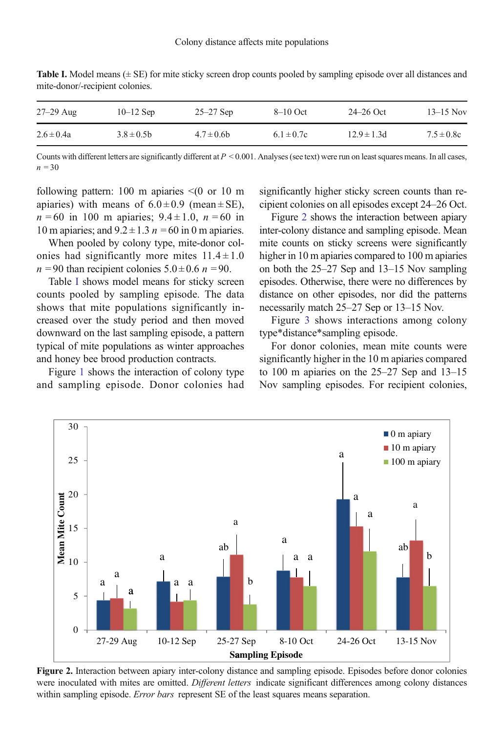| $27-29$ Aug    | $10-12$ Sep     | $25 - 27$ Sep   | $8-10$ Oct     | $24 - 26$ Oct   | $13 - 15$ Nov  |
|----------------|-----------------|-----------------|----------------|-----------------|----------------|
| $2.6 \pm 0.4a$ | $3.8 \pm 0.5$ h | $4.7 \pm 0.6$ b | $6.1 \pm 0.7c$ | $12.9 \pm 1.3d$ | $7.5 \pm 0.8c$ |

<span id="page-4-0"></span>**Table I.** Model means  $(\pm SE)$  for mite sticky screen drop counts pooled by sampling episode over all distances and mite-donor/-recipient colonies.

Counts with different letters are significantly different at  $P \le 0.001$ . Analyses (see text) were run on least squares means. In all cases,  $n = 30$ 

following pattern: 100 m apiaries  $\leq$  (0 or 10 m apiaries) with means of  $6.0 \pm 0.9$  (mean  $\pm$  SE),  $n = 60$  in 100 m apiaries;  $9.4 \pm 1.0$ ,  $n = 60$  in 10 m apiaries; and  $9.2 \pm 1.3$  n = 60 in 0 m apiaries.

When pooled by colony type, mite-donor colonies had significantly more mites  $11.4 \pm 1.0$  $n = 90$  than recipient colonies  $5.0 \pm 0.6$   $n = 90$ .

Table I shows model means for sticky screen counts pooled by sampling episode. The data shows that mite populations significantly increased over the study period and then moved downward on the last sampling episode, a pattern typical of mite populations as winter approaches and honey bee brood production contracts.

Figure [1](#page-2-0) shows the interaction of colony type and sampling episode. Donor colonies had significantly higher sticky screen counts than recipient colonies on all episodes except 24–26 Oct.

Figure 2 shows the interaction between apiary inter-colony distance and sampling episode. Mean mite counts on sticky screens were significantly higher in 10 m apiaries compared to 100 m apiaries on both the 25–27 Sep and 13–15 Nov sampling episodes. Otherwise, there were no differences by distance on other episodes, nor did the patterns necessarily match 25–27 Sep or 13–15 Nov.

Figure [3](#page-5-0) shows interactions among colony type\*distance\*sampling episode.

For donor colonies, mean mite counts were significantly higher in the 10 m apiaries compared to 100 m apiaries on the 25–27 Sep and 13–15 Nov sampling episodes. For recipient colonies,



Figure 2. Interaction between apiary inter-colony distance and sampling episode. Episodes before donor colonies were inoculated with mites are omitted. Different letters indicate significant differences among colony distances within sampling episode. Error bars represent SE of the least squares means separation.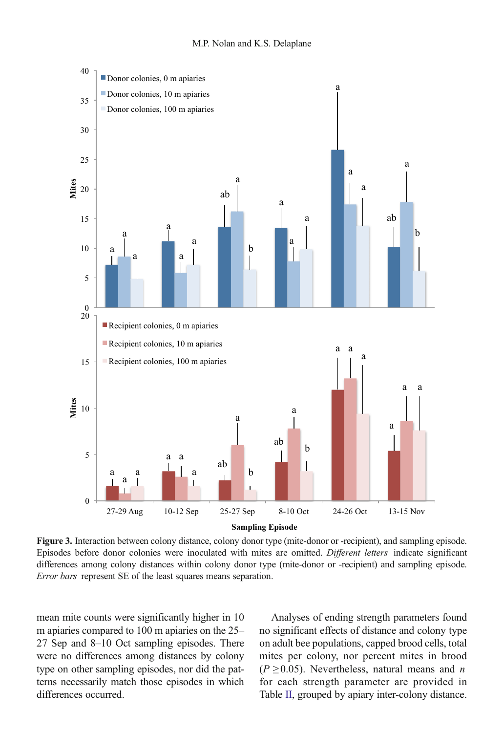<span id="page-5-0"></span>

Figure 3. Interaction between colony distance, colony donor type (mite-donor or -recipient), and sampling episode. Episodes before donor colonies were inoculated with mites are omitted. Different letters indicate significant differences among colony distances within colony donor type (mite-donor or -recipient) and sampling episode. Error bars represent SE of the least squares means separation.

mean mite counts were significantly higher in 10 m apiaries compared to 100 m apiaries on the 25– 27 Sep and 8–10 Oct sampling episodes. There were no differences among distances by colony type on other sampling episodes, nor did the patterns necessarily match those episodes in which differences occurred.

Analyses of ending strength parameters found no significant effects of distance and colony type on adult bee populations, capped brood cells, total mites per colony, nor percent mites in brood  $(P \ge 0.05)$ . Nevertheless, natural means and *n* for each strength parameter are provided in Table [II](#page-6-0), grouped by apiary inter-colony distance.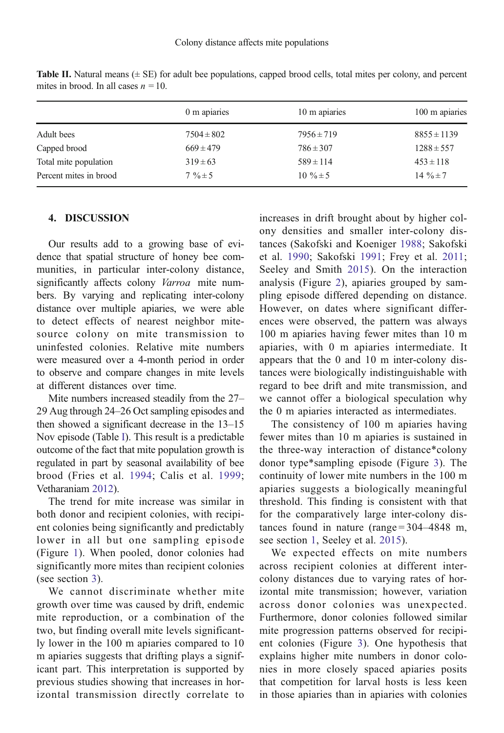|                        | 0 m apiaries   | 10 m apiaries  | 100 m apiaries  |
|------------------------|----------------|----------------|-----------------|
| Adult bees             | $7504 \pm 802$ | $7956 \pm 719$ | $8855 \pm 1139$ |
| Capped brood           | $669 \pm 479$  | $786 \pm 307$  | $1288 \pm 557$  |
| Total mite population  | $319 \pm 63$   | $589 \pm 114$  | $453 \pm 118$   |
| Percent mites in brood | $7\% \pm 5$    | $10\% \pm 5$   | 14 $\% \pm 7$   |

<span id="page-6-0"></span>**Table II.** Natural means  $(\pm SE)$  for adult bee populations, capped brood cells, total mites per colony, and percent mites in brood. In all cases  $n = 10$ .

### 4. DISCUSSION

Our results add to a growing base of evidence that spatial structure of honey bee communities, in particular inter-colony distance, significantly affects colony Varroa mite numbers. By varying and replicating inter-colony distance over multiple apiaries, we were able to detect effects of nearest neighbor mitesource colony on mite transmission to uninfested colonies. Relative mite numbers were measured over a 4-month period in order to observe and compare changes in mite levels at different distances over time.

Mite numbers increased steadily from the 27– 29 Aug through 24–26 Oct sampling episodes and then showed a significant decrease in the 13–15 Nov episode (Table [I](#page-4-0)). This result is a predictable outcome of the fact that mite population growth is regulated in part by seasonal availability of bee brood (Fries et al. [1994](#page-8-0); Calis et al. [1999](#page-8-0); Vetharaniam [2012](#page-8-0)).

The trend for mite increase was similar in both donor and recipient colonies, with recipient colonies being significantly and predictably lower in all but one sampling episode (Figure [1](#page-2-0)). When pooled, donor colonies had significantly more mites than recipient colonies (see section [3](#page-3-0)).

We cannot discriminate whether mite growth over time was caused by drift, endemic mite reproduction, or a combination of the two, but finding overall mite levels significantly lower in the 100 m apiaries compared to 10 m apiaries suggests that drifting plays a significant part. This interpretation is supported by previous studies showing that increases in horizontal transmission directly correlate to increases in drift brought about by higher colony densities and smaller inter-colony distances (Sakofski and Koeniger [1988;](#page-8-0) Sakofski et al. [1990](#page-8-0); Sakofski [1991;](#page-8-0) Frey et al. [2011;](#page-8-0) Seeley and Smith [2015\)](#page-8-0). On the interaction analysis (Figure [2\)](#page-4-0), apiaries grouped by sampling episode differed depending on distance. However, on dates where significant differences were observed, the pattern was always 100 m apiaries having fewer mites than 10 m apiaries, with 0 m apiaries intermediate. It appears that the 0 and 10 m inter-colony distances were biologically indistinguishable with regard to bee drift and mite transmission, and we cannot offer a biological speculation why the 0 m apiaries interacted as intermediates.

The consistency of 100 m apiaries having fewer mites than 10 m apiaries is sustained in the three-way interaction of distance\*colony donor type\*sampling episode (Figure [3\)](#page-5-0). The continuity of lower mite numbers in the 100 m apiaries suggests a biologically meaningful threshold. This finding is consistent with that for the comparatively large inter-colony distances found in nature (range  $= 304 - 4848$  m, see section [1,](#page-0-0) Seeley et al. [2015\)](#page-8-0).

We expected effects on mite numbers across recipient colonies at different intercolony distances due to varying rates of horizontal mite transmission; however, variation across donor colonies was unexpected. Furthermore, donor colonies followed similar mite progression patterns observed for recipient colonies (Figure [3](#page-5-0)). One hypothesis that explains higher mite numbers in donor colonies in more closely spaced apiaries posits that competition for larval hosts is less keen in those apiaries than in apiaries with colonies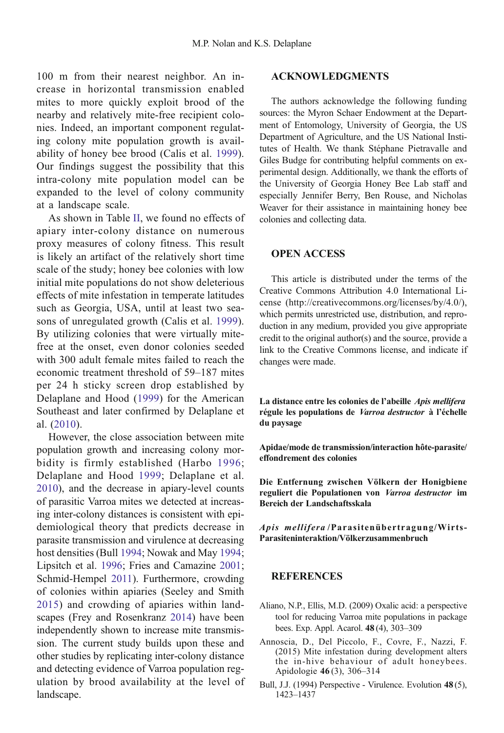<span id="page-7-0"></span>100 m from their nearest neighbor. An increase in horizontal transmission enabled mites to more quickly exploit brood of the nearby and relatively mite-free recipient colonies. Indeed, an important component regulating colony mite population growth is availability of honey bee brood (Calis et al. [1999\)](#page-8-0). Our findings suggest the possibility that this intra-colony mite population model can be expanded to the level of colony community at a landscape scale.

As shown in Table [II](#page-6-0), we found no effects of apiary inter-colony distance on numerous proxy measures of colony fitness. This result is likely an artifact of the relatively short time scale of the study; honey bee colonies with low initial mite populations do not show deleterious effects of mite infestation in temperate latitudes such as Georgia, USA, until at least two seasons of unregulated growth (Calis et al. [1999\)](#page-8-0). By utilizing colonies that were virtually mitefree at the onset, even donor colonies seeded with 300 adult female mites failed to reach the economic treatment threshold of 59–187 mites per 24 h sticky screen drop established by Delaplane and Hood [\(1999\)](#page-8-0) for the American Southeast and later confirmed by Delaplane et al. [\(2010\)](#page-8-0).

However, the close association between mite population growth and increasing colony morbidity is firmly established (Harbo [1996](#page-8-0); Delaplane and Hood [1999;](#page-8-0) Delaplane et al. [2010](#page-8-0)), and the decrease in apiary-level counts of parasitic Varroa mites we detected at increasing inter-colony distances is consistent with epidemiological theory that predicts decrease in parasite transmission and virulence at decreasing host densities (Bull 1994; Nowak and May [1994](#page-8-0); Lipsitch et al. [1996;](#page-8-0) Fries and Camazine [2001](#page-8-0); Schmid-Hempel [2011](#page-8-0)). Furthermore, crowding of colonies within apiaries (Seeley and Smith [2015\)](#page-8-0) and crowding of apiaries within landscapes (Frey and Rosenkranz [2014](#page-8-0)) have been independently shown to increase mite transmission. The current study builds upon these and other studies by replicating inter-colony distance and detecting evidence of Varroa population regulation by brood availability at the level of landscape.

# ACKNOWLEDGMENTS

The authors acknowledge the following funding sources: the Myron Schaer Endowment at the Department of Entomology, University of Georgia, the US Department of Agriculture, and the US National Institutes of Health. We thank Stéphane Pietravalle and Giles Budge for contributing helpful comments on experimental design. Additionally, we thank the efforts of the University of Georgia Honey Bee Lab staff and especially Jennifer Berry, Ben Rouse, and Nicholas Weaver for their assistance in maintaining honey bee colonies and collecting data.

## OPEN ACCESS

This article is distributed under the terms of the Creative Commons Attribution 4.0 International License (http://creativecommons.org/licenses/by/4.0/), which permits unrestricted use, distribution, and reproduction in any medium, provided you give appropriate credit to the original author(s) and the source, provide a link to the Creative Commons license, and indicate if changes were made.

La distance entre les colonies de l'abeille Apis mellifera régule les populations de Varroa destructor à l'échelle du paysage

Apidae/mode de transmission/interaction hôte-parasite/ effondrement des colonies

Die Entfernung zwischen Völkern der Honigbiene reguliert die Populationen von Varroa destructor im Bereich der Landschaftsskala

Apis mellifera /Parasitenübertragung/Wirts-Parasiteninteraktion/Völkerzusammenbruch

## **REFERENCES**

- Aliano, N.P., Ellis, M.D. (2009) Oxalic acid: a perspective tool for reducing Varroa mite populations in package bees. Exp. Appl. Acarol. 48 (4), 303–309
- Annoscia, D., Del Piccolo, F., Covre, F., Nazzi, F. (2015) Mite infestation during development alters the in-hive behaviour of adult honeybees. Apidologie 46 (3), 306–314
- Bull, J.J. (1994) Perspective Virulence. Evolution 48 (5), 1423–1437